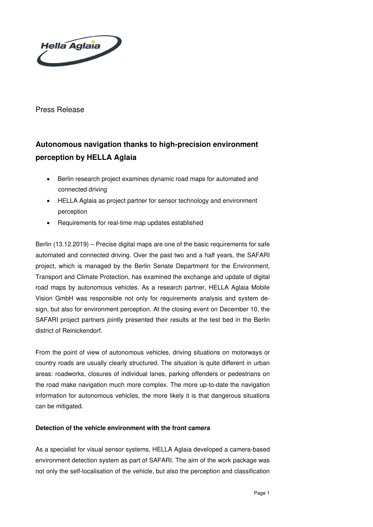

Press Release

# **Autonomous navigation thanks to high-precision environment perception by HELLA Aglaia**

- Berlin research project examines dynamic road maps for automated and connected driving
- HELLA Aglaia as project partner for sensor technology and environment perception
- Requirements for real-time map updates established

Berlin (13.12.2019) – Precise digital maps are one of the basic requirements for safe automated and connected driving. Over the past two and a half years, the SAFARI project, which is managed by the Berlin Senate Department for the Environment, Transport and Climate Protection, has examined the exchange and update of digital road maps by autonomous vehicles. As a research partner, HELLA Aglaia Mobile Vision GmbH was responsible not only for requirements analysis and system design, but also for environment perception. At the closing event on December 10, the SAFARI project partners jointly presented their results at the test bed in the Berlin district of Reinickendorf.

From the point of view of autonomous vehicles, driving situations on motorways or country roads are usually clearly structured. The situation is quite different in urban areas: roadworks, closures of individual lanes, parking offenders or pedestrians on the road make navigation much more complex. The more up-to-date the navigation information for autonomous vehicles, the more likely it is that dangerous situations can be mitigated.

## **Detection of the vehicle environment with the front camera**

As a specialist for visual sensor systems, HELLA Aglaia developed a camera-based environment detection system as part of SAFARI. The aim of the work package was not only the self-localisation of the vehicle, but also the perception and classification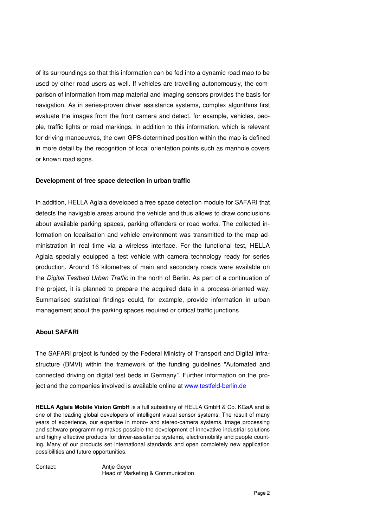of its surroundings so that this information can be fed into a dynamic road map to be used by other road users as well. If vehicles are travelling autonomously, the comparison of information from map material and imaging sensors provides the basis for navigation. As in series-proven driver assistance systems, complex algorithms first evaluate the images from the front camera and detect, for example, vehicles, people, traffic lights or road markings. In addition to this information, which is relevant for driving manoeuvres, the own GPS-determined position within the map is defined in more detail by the recognition of local orientation points such as manhole covers or known road signs.

### **Development of free space detection in urban traffic**

In addition, HELLA Aglaia developed a free space detection module for SAFARI that detects the navigable areas around the vehicle and thus allows to draw conclusions about available parking spaces, parking offenders or road works. The collected information on localisation and vehicle environment was transmitted to the map administration in real time via a wireless interface. For the functional test, HELLA Aglaia specially equipped a test vehicle with camera technology ready for series production. Around 16 kilometres of main and secondary roads were available on the Digital Testbed Urban Traffic in the north of Berlin. As part of a continuation of the project, it is planned to prepare the acquired data in a process-oriented way. Summarised statistical findings could, for example, provide information in urban management about the parking spaces required or critical traffic junctions.

## **About SAFARI**

The SAFARI project is funded by the Federal Ministry of Transport and Digital Infrastructure (BMVI) within the framework of the funding guidelines "Automated and connected driving on digital test beds in Germany". Further information on the project and the companies involved is available online at [www.testfeld-berlin.de](http://www.testfeld-berlin.de/)

**HELLA Aglaia Mobile Vision GmbH** is a full subsidiary of HELLA GmbH & Co. KGaA and is one of the leading global developers of intelligent visual sensor systems. The result of many years of experience, our expertise in mono- and stereo-camera systems, image processing and software programming makes possible the development of innovative industrial solutions and highly effective products for driver-assistance systems, electromobility and people counting. Many of our products set international standards and open completely new application possibilities and future opportunities.

Contact: Antje Geyer

Head of Marketing & Communication